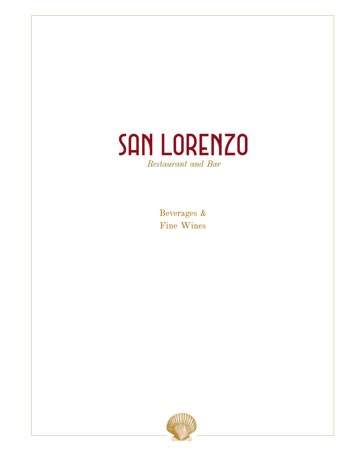

Beverages & Fine Wines

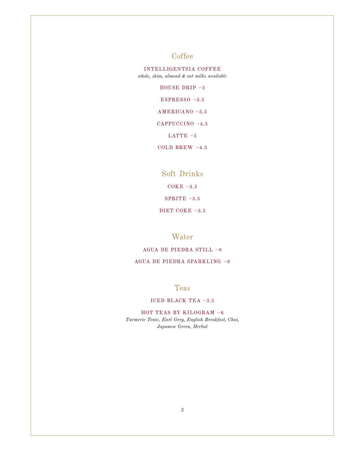# **Coffee**

INTELLIGENTSIA COFFEE *whole, skim, almond & oat milks available*

HOUSE DRIP ~3

ESPRESSO ~3.5

AMERICANO ~3.5

CAPPUCCINO ~4.5

LATTE  $~15$ 

COLD BREW ~4.5

# Soft Drinks

 $COKE ~-3.5$ 

SPRITE  $~1.5$ 

DIET COKE ~3.5

Water

AGUA DE PIEDRA STILL ~8 AGUA DE PIEDRA SPARKLING ~8

Teas

#### ICED BLACK TEA ~3.5

HOT TEAS BY KILOGRAM ~6 *Turmeric Tonic, Earl Grey, English Breakfast, Chai, Japanese Green, Herbal*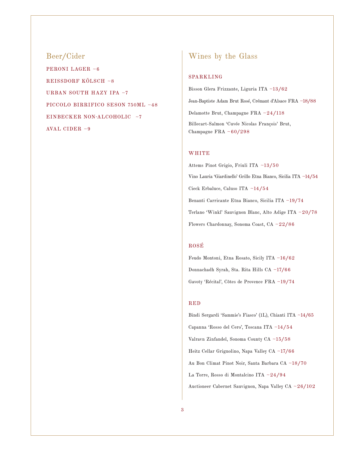Beer/Cider PERONI LAGER ~6 REISSDORF KÖLSCH ~8 URBAN SOUTH HAZY IPA ~7 PICCOLO BIRRIFICO SESON 750ML ~48 EINBECKER NON-ALCOHOLIC ~7 AVAL CIDER ~9

# Wines by the Glass

#### SPARKLING

Bisson Glera Frizzante, Liguria ITA ~13/62 Jean-Baptiste Adam Brut Rosé, Crémant d'Alsace FRA ~18/88 Delamotte Brut, Champagne FRA ~24/118 Billecart-Salmon 'Cuvée Nicolas François' Brut, Champagne FRA ~60/298

#### **WHITE**

Attems Pinot Grigio, Friuli ITA ~13/50 Vino Lauria 'Giardinello' Grillo Etna Bianco, Sicilia ITA ~14/54 Cieck Erbaluce, Caluso ITA ~14/54 Benanti Carricante Etna Bianco, Sicilia ITA ~19/74 Terlano 'Winkl' Sauvignon Blanc, Alto Adige ITA ~20/78 Flowers Chardonnay, Sonoma Coast, CA ~22/86

#### ROSÉ

Feudo Montoni, Etna Rosato, Sicily ITA ~16/62 Donnachadh Syrah, Sta. Rita Hills CA ~17/66 Gavoty 'Récital', Côtes de Provence FRA ~19/74

#### RED

Bindi Sergardi 'Sammie's Fiasco' (1L), Chianti ITA ~14/65 Capanna 'Rosso del Cero', Toscana ITA ~14/54 Valravn Zinfandel, Sonoma County CA ~15/58 Heitz Cellar Grignolino, Napa Valley CA ~17/66 Au Bon Climat Pinot Noir, Santa Barbara CA ~18/70 La Torre, Rosso di Montalcino ITA ~24/94 Auctioneer Cabernet Sauvignon, Napa Valley CA ~26/102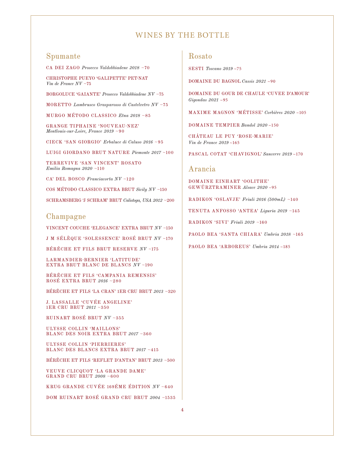## Spumante

CA DEI ZAGO *Prosecco Valdobbiadene 2018* ~70

CHRISTOPHE PUEYO 'GALIPETTE' PET-NAT *Vin de France NV* ~75

BORGOLUCE 'GAIANTE' *Prosecco Valdobbiadene NV* ~75

MORETTO *Lambrusco Grasparosso di Castelvetro NV* ~75

MURGO MÉTODO CLASSICO *Etna 2018* ~85

GRANGE TIPHAINE 'NOUVEAU-NEZ' *Montlouis-sur-Loire, France 2019* ~90

CIECK 'SAN GIORGIO' *Erbaluce di Caluso 2016* ~95

LUIGI GIORDANO BRUT NATURE *Piemonte 2017* ~100

TERREVIVE 'SAN VINCENT' ROSATO *Emilia Romagna 2020* ~110

CA' DEL BOSCO *Franciacorta NV* ~120

COS MÉTODO CLASSICO EXTRA BRUT *Sicily NV* ~150

SCHRAMSBERG 'J SCHRAM' BRUT *Calistoga, USA 2012* ~200

#### Champagne

VINCENT COUCHE 'ELEGANCE' EXTRA BRUT *NV* ~150

J M SÉLÈQUE 'SOLESSENCE' ROSÉ BRUT *NV* ~170

BÉRÊCHE ET FILS BRUT RESERVE *NV* ~175

LARMANDIER-BERNIER 'LATITUDE' EXTRA BRUT BLANC DE BLANCS *NV* ~190

BÉRÊCHE ET FILS 'CAMPANIA REMENSIS' ROSÉ EXTRA BRUT *2016* ~280

BÉRÊCHE ET FILS 'LA CRAN' 1ER CRU BRUT *2013* ~320

J. LASSALLE 'CUVÉE ANGELINE' 1ER CRU BRUT *2011* ~350

RUINART ROSÉ BRUT *NV* ~355

ULYSSE COLLIN 'MAILLONS' BLANC DES NOIR EXTRA BRUT *2017* ~360

ULYSSE COLLIN 'PIERRIERES' BLANC DES BLANCS EXTRA BRUT *2017* ~415

BÉRÊCHE ET FILS 'REFLET D'ANTAN' BRUT *2013* ~500

VEUVE CLICQUOT 'LA GRANDE DAME' GRAND CRU BRUT *2008* ~600

KRUG GRANDE CUVÉE 169ÉME ÉDITION *NV* ~640

DOM RUINART ROSÉ GRAND CRU BRUT *2004* ~1535

### Rosato

SESTI *Toscano 2019* ~75

DOMAINE DU BAGNOL *Cassis 2021* ~90

DOMAINE DU GOUR DE CHAULE 'CUVEE D'AMOUR' *Gigondas 2021* ~95

MAXIME MAGNON 'MÉTISSE' *Corbières 2020* ~105

DOMAINE TEMPIER *Bandol 2020* ~150

CHÂTEAU LE PUY 'ROSE-MARIE' *Vin de France 2019* ~165

PASCAL COTAT 'CHAVIGNOL' *Sancerre 2019* ~170

### Arancia

DOMAINE EINHART 'OOLITHE' GEWÜRZTRAMINER *Alsace 2020* ~95

RADIKON 'OSLAVJE' *Friuli 2016 (500mL)* ~140

TENUTA ANFOSSO 'ANTEA' *Liguria 2019* ~145

RADIKON 'SIVI' *Friuli 2019* ~160

PAOLO BEA 'SANTA CHIARA' *Umbria 2018* ~165

PAOLO BEA 'ARBOREUS' *Umbria 2014* ~185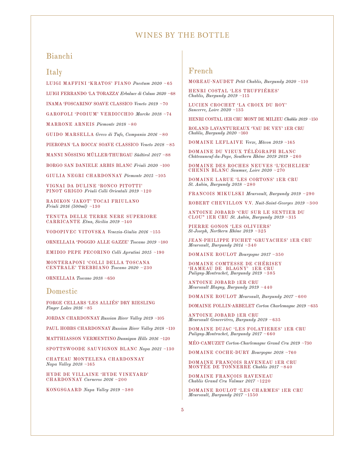# Bianchi

### Italy

LUIGI MAFFINI 'KRATOS' FIANO *Paestum 2020* ~65

LUIGI FERRANDO 'LA TORAZZA' *Erbaluce di Caluso 2020* ~68

INAMA 'FOSCARINO' SOAVE CLASSICO *Veneto 2019* ~70

GAROFOLI 'PODIUM' VERDICCHIO *Marche 2018* ~74

MARRONE ARNEIS *Piemonte 2018* ~80

GUIDO MARSELLA *Greco di Tufo, Campania 2016* ~80

PIEROPAN 'LA ROCCA' SOAVE CLASSICO *Veneto 2018* ~85

MANNI NÖSSING MÜLLER-THURGAU *Südtirol 2017* ~88

BORGO SAN DANIELE ARBIS BLANC *Friuli 2020* ~100

GIULIA NEGRI CHARDONNAY *Piemonte 2015* ~105

VIGNAI DA DULINE 'RONCO PITOTTI' PINOT GRIGIO *Friuli Colli Orientali 2019* ~120

RADIKON 'JAKOT' TOCAI FRIULANO *Friuli 2016 (500ml)* ~130

TENUTA DELLE TERRE NERE SUPERIORE CARRICANTE *Etna, Sicilia 2019* ~140

VODOPIVEC VITOVSKA *Venezia-Giulia 2016* ~155

ORNELLAIA 'POGGIO ALLE GAZZE' *Toscano 2019* ~180

EMIDIO PEPE PECORINO *Colli Aprutini 2015* ~190

MONTERAPONI 'COLLI DELLA TOSCANA CENTRALE' TREBBIANO *Toscano 2020* ~230

ORNELLAIA *Toscano 2018* ~650

### Domestic

FORGE CELLARS 'LES ALLIÉS' DRY RIESLING *Finger Lakes 2016* ~85

JORDAN CHARDONNAY *Russian River Valley 2019* ~105

PAUL HOBBS CHARDONNAY *Russian River Valley 2018* ~110

MATTHIASSON VERMENTINO *Dunnigan Hills 2016* ~120

SPOTTSWOODE SAUVIGNON BLANC *Napa 2021* ~130

CHATEAU MONTELENA CHARDONNAY *Napa Valley 2018* ~165

HYDE DE VILLAINE 'HYDE VINEYARD' CHARDONNAY *Carneros 2016* ~200

KONGSGAARD *Napa Valley 2019* ~380

### French

MOREAU-NAUDET *Petit Chablis, Burgundy 2020* ~110

HENRI COSTAL 'LES TRUFFIÉRES' *Chablis, Burgundy 2019* ~115

LUCIEN CROCHET 'LA CROIX DU ROY ' *Sancerre, Loire 2020* ~135

HENRI COSTAL 1ER CRU MONT DE MILIEU *Chablis 2019* ~150

ROLAND LAVANTUREAUX 'VAU DE VEY' 1ER CRU *Chablis, Burgundy 2020* ~160

DOMAINE LEFLAIVE *Verze, Mâcon 2019* ~165

DOMAINE DU VIEUX TÉLÉGRAPH BLANC *Châteauneuf-du-Pape, Southern Rhône 2019 2019* ~260

DOMAINE DES ROCHES NEUVES 'L'ECHELIER' CHENIN BLANC *Saumur, Loire 2020* ~270

DOMAINE LARUE 'LES CORTONS' 1ER CRU *St. Aubin, Burgundy 2018* ~280

FRANCOIS MIKULSKI *Meursault, Burgundy 2019* ~290

ROBERT CHEVILLON V.V. *Nuit-Saint-Georges 2019* ~300

ANTOINE JOBARD 'CRU SUR LE SENTIER DU CLOU" 1ER CRU *St. Aubin, Burgundy 2019* ~315

PIERRE GONON 'LES OLIVIERS' *St-Joseph, Northern Rhône 2019* ~325

JEAN-PHILIPPE FICHET 'GRUYACHES' 1ER CRU *Meursault, Burgundy 2014* ~340

DOMAINE ROULOT *Bourgogne 2017* ~350

DOMAINE COMTESSE DE CHÉRISEY 'HAMEAU DE BLAGNY' 1ER CRU *Puligny-Montrachet, Burgundy 2019* ~385

ANTOINE JOBARD 1ER CRU *Meursault Blagny, Burgundy 2019* ~440

DOMAINE ROULOT *Meursault, Burgundy 2017* ~600

DOMAINE FOLLIN-ARBELET *Corton Charlemagne 2019* ~635

ANTOINE JOBARD 1ER CRU *Meursault Genevriéres, Burgundy 2019* ~635

DOMAINE DUJAC 'LES FOLATIERES' 1ER CRU *Puligny-Montrachet, Burgundy 2017* ~660

MÉO-CAMUZET *Corton-Charlemagne Grand Cru 2019* ~730

DOMAINE COCHE-DURY *Bourgogne 2018* ~760

DOMAINE FRANÇOIS RAVENEAU 1ER CRU MONTÉE DE TONNERRE *Chablis 2017* ~840

DOMAINE FRANÇOIS RAVENEAU *Chablis Grand Cru Valmur 2017* ~1220

DOMAINE ROULOT 'LES CHARMES' 1ER CRU *Meursault, Burgundy 2017* ~1550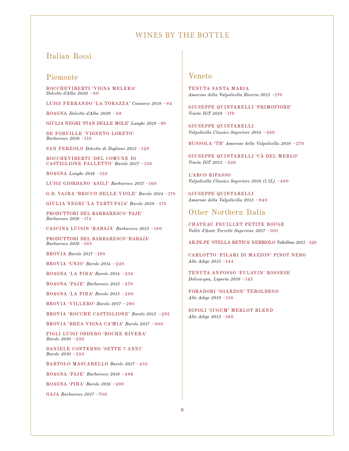## Italian Rossi

## Piemonte

ROCCHEVIBERTI 'VIGNA MELERA' *Dolcetto d'Alba 2020* ~80

LUIGI FERRANDO 'LA TORAZZA' *Canavese 2018* ~84

ROAGNA *Dolcetto d'Alba 2020* ~88

GIULIA NEGRI 'PIAN DELLE MOLE' *Langhe 2019* ~90

DE FORVILLE 'VIGNETO LORETO' *Barbaresco 2018* ~110

SAN FEREOLO *Dolcetto di Dogliani 2013* ~120

ROCCHEVIBERTI 'DEL COMUNE DI CASTIGLIONE FALLETTO' *Barolo 2017* ~130

ROAGNA *Langhe 2016* ~135

LUIGI GIORDANO 'ASILI' *Barbaresco 2017* ~160

G.D. VAJRA 'BRICCO DELLE VIOLE' *Barolo 2014* ~170

GIULIA NEGRI 'LA TARTUFAIA' *Barolo 2018* ~175

PRODUTTORI DEL BARBARESCO 'PAJE' *Barbaresco 2016* ~175

CASCINA LUISIN 'RABAJÀ' *Barbaresco 2015* ~180

PRODUTTORI DEL BARBARESCO 'RABAJÀ' *Barbaresco 2016* ~185

BROVIA *Barolo 2017* ~190

BROVIA 'UNIO' *Barolo 2014* ~220

ROAGNA 'LA PIRA' *Barolo 2014* ~250

ROAGNA 'PAJE' *Barbaresco 2015* ~270

ROAGNA 'LA PIRA' *Barolo 2015* ~280

BROVIA 'VILLERO' *Barolo 2017* ~290

BROVIA 'ROCCHE CASTIGLIONE' *Barolo 2015* ~295

BROVIA 'BREA VIGNA CA'MIA' *Barolo 2017* ~300

FIGLI LUIGI ODDERO 'ROCHE RIVERA' *Barolo 2010* ~330

DANIELE CONTERNO 'SETTE 7 ANNI' *Barolo 2010* ~350

BARTOLO MASCARELLO *Barolo 2017* ~455

ROAGNA 'PAJE' *Barbaresco 2016* ~486

ROAGNA 'PIRA' *Barolo 2016* ~490

GAJA *Barbaresco 2017* ~700

# Veneto

TENUTA SANTA MARIA *Amarone della Valpolicella Riserva 2015* ~170

GIUSEPPE QUINTARELLI 'PRIMOFIORE' *Veneto IGT 2019* ~170

GIUSEPPE QUINTARELLI *Valpolicella Classico Superiore 2014* ~260

BUSSOLA 'TB' *Amarone della Valpolicella 2010* ~270

GIUSEPPE QUINTARELLI 'CÀ DEL MERLO' *Veneto IGT 2013* ~320

L'ARCO RIPASSO *Valpolicella Classico Superiore 2018 (1.5L)* ~400

GIUSEPPE QUINTARELLI *Amarone della Valpolicella 2013* ~940

# Other Northern Italia

CHATEAU FEUILLET PETITE ROUGE *Vallée d'Aoste Torrette Superieur 2017* ~100

AR.PE.PE 'STELLA RETICA' NEBBIOLO *Valtellina 2015* ~120

CARLOTTO 'FILARI DI MAZZON' PINOT NERO *Alto Adige 2015* ~144

TENUTA ANFOSSO 'FULAVIN' ROSSESE *Dolceacqua, Liguria 2018* ~145

FORADORI 'SGARZON' TEROLDEGO *Alto Adige 2019* ~150

DIPOLI 'IUGUM' MERLOT BLEND *Alto Adige 2013* ~160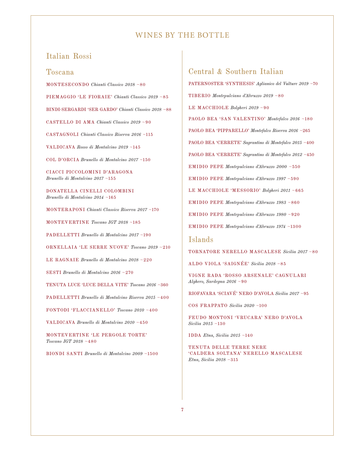## Italian Rossi

### Toscana

MONTESECONDO *Chianti Classico 2018* ~80

PIEMAGGIO 'LE FIORAIE' *Chianti Classico 2019* ~85

BINDI-SERGARDI 'SER GARDO' *Chianti Classico 2018* ~88

CASTELLO DI AMA *Chianti Classico 2019* ~90

CASTAGNOLI *Chianti Classico Riserva 2016* ~115

VALDICAVA *Rosso di Montalcino 2019* ~145

COL D'ORCIA *Brunello di Montalcino 2017* ~150

CIACCI PICCOLOMINI D'ARAGONA *Brunello di Montalcino 2017* ~155

DONATELLA CINELLI COLOMBINI *Brunello di Montalcino 2014* ~165

MONTERAPONI *Chianti Classico Riserva 2017* ~170

MONTEVERTINE *Toscano IGT 2018* ~185

PADELLETTI *Brunello di Montalcino 2017* ~190

ORNELLAIA 'LE SERRE NUOVE' *Toscano 2019* ~210

LE RAGNAIE *Brunello di Montalcino 2018* ~220

SESTI *Brunello di Montalcino 2016* ~270

TENUTA LUCE 'LUCE DELLA VITE' *Toscano 2016* ~360

PADELLETTI *Brunello di Montalcino Riserva 2015* ~400

FONTODI 'FLACCIANELLO' *Toscano 2010* ~400

VALDICAVA *Brunello di Montalcino 2010* ~450

MONTEVERTINE 'LE PERGOLE TORTE' *Toscano IGT 2018* ~480

BIONDI SANTI *Brunello di Montalcino 2009* ~1500

# Central & Southern Italian

PATERNOSTER 'SYNTHESIS' *Aglianico del Vulture 2019* ~70 TIBERIO *Montepulciano d'Abruzzo 2019* ~80 LE MACCHIOLE *Bolgheri 2019* ~90 PAOLO BEA 'SAN VALENTINO' *Montefalco 2016* ~180 PAOLO BEA 'PIPPARELLO' *Montefalco Riserva 2016* ~265 PAOLO BEA 'CERRETE' *Sagrantino di Montefalco 2015* ~400 PAOLO BEA 'CERRETE' *Sagrantino di Montefalco 2012* ~450 EMIDIO PEPE *Montepulciano d'Abruzzo 2000* ~550 EMIDIO PEPE *Montepulciano d'Abruzzo 1997* ~590 LE MACCHIOLE 'MESSORIO' *Bolgheri 2011* ~665 EMIDIO PEPE *Montepulciano d'Abruzzo 1983* ~860 EMIDIO PEPE *Montepulciano d'Abruzzo 1980* ~920 EMIDIO PEPE *Montepulciano d'Abruzzo 1974* ~1300

### Islands

TORNATORE NERELLO MASCALESE *Sicilia 2017* ~80

ALDO VIOLA 'SAIGNÉE' *Sicilia 2018* ~85

VIGNE RADA 'ROSSO ARSENALE' CAGNULARI *Alghero, Sardegna 2016* ~90

RIOFAVARA 'SCIAVÉ' NERO D'AVOLA *Sicilia 2017* ~95

COS FRAPPATO *Sicilia 2020* ~100

FEUDO MONTONI 'VRUCARA' NERO D'AVOLA *Sicilia 2015* ~130

IDDA *Etna, Sicilia 2015* ~140

TENUTA DELLE TERRE NERE 'CALDERA SOLTANA' NERELLO MASCALESE *Etna, Sicilia 2018* ~315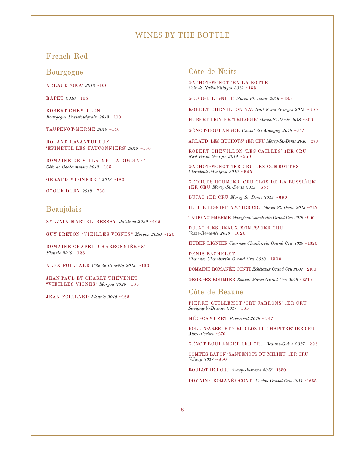## French Red

Bourgogne

ARLAUD 'OKA' *2018* ~100

RAPET *2018* ~105

ROBERT CHEVILLON *Bourgogne Passetoutgrain 2019* ~110

TAUPENOT-MERME *2019* ~140

ROLAND LAVANTUREUX 'EPINEUIL LES FAUCONNIERS' *2019* ~150

DOMAINE DE VILLAINE 'LA DIGOINE' *Côte de Chalonnaisse 2019* ~165

GERARD MUGNERET *2018* ~180

COCHE-DURY *2018* ~760

## Beaujolais

SYLVAIN MARTEL 'BESSAY ' *Juliénas 2020* ~105

GUY BRETON "VIEILLES VIGNES" *Morgon 2020* ~120

DOMAINE CHAPEL 'CHARBONNIÉRES' *Fleurie 2019* ~125

ALEX FOILLARD *Côte-de-Brouilly 2019,* ~130

JEAN-PAUL ET CHARLY THÉVENET "VIEILLES VIGNES" *Morgon 2020* ~135

JEAN FOILLARD *Fleurie 2019* ~165

## Côte de Nuits

GACHOT-MONOT 'EN LA BOTTE' *Côte de Nuits-Villages 2019* ~135

GEORGE LIGNIER *Morey-St.-Denis 2016* ~185

ROBERT CHEVILLON V.V. *Nuit-Saint-Georges 2019* ~300

HUBERT LIGNIER 'TRILOGIE' *Morey-St.-Denis 2018* ~300

GÉNOT-BOULANGER *Chambolle-Musigny 2018* ~315

ARLAUD 'LES RUCHOTS' 1ER CRU *Morey-St.-Denis 2016* ~370

ROBERT CHEVILLON 'LES CAILLES' 1ER CRU *Nuit-Saint-Georges 2019* ~550

GACHOT-MONOT 1ER CRU LES COMBOTTES *Chambolle-Musigny 2019* ~645

GEORGES ROUMIER 'CRU CLOS DE LA BUSSIÈRE' 1ER CRU *Morey-St.-Denis 2019* ~655

DUJAC 1ER CRU *Morey-St.-Denis 2019* ~660

HUBER LIGNIER 'V.V." 1ER CRU *Morey-St.-Denis 2019* ~715

TAUPENOT-MERME *Mazoyères-Chambertin Grand Cru 2018* ~900

DUJAC 'LES BEAUX MONTS' 1ER CRU *Vosne-Romanée 2019* ~1020

HUBER LIGNIER *Charmes Chambertin Grand Cru 2019* ~1320

DENIS BACHELET *Charmes Chambertin Grand Cru 2018* ~1900

DOMAINE ROMANÉE‑CONTI *Échézeaux Grand Cru 2007* ~2100

GEORGES ROUMIER *Bonnes Mares Grand Cru 2019* ~3510

## Côte de Beaune

PIERRE GUILLEMOT 'CRU JARRONS' 1ER CRU *Savigny-lé-Beaune 2017* ~165

MÉO-CAMUZET *Pommard 2019* ~245

FOLLIN-ARBELET 'CRU CLOS DU CHAPITRE' 1ER CRU *Aloxe-Corton* ~270

GÉNOT-BOULANGER 1ER CRU *Beaune-Grève 2017* ~295

COMTES LAFON 'SANTENOTS DU MILIEU' 1ER CRU *Volnay 2017* ~850

ROULOT 1ER CRU *Auxey-Duresses 2017* ~1550

DOMAINE ROMANÉE‑CONTI *Corton Grand Cru 2011* ~1665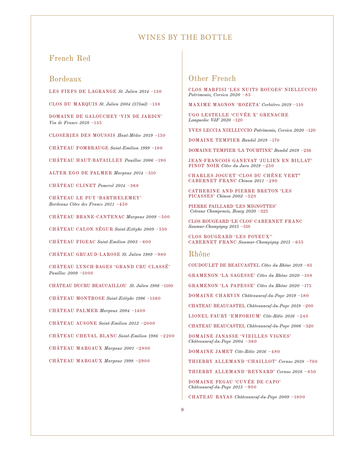### French Red

# Bordeaux

LES FIEFS DE LAGRANGE *St. Julien 2014* ~130

CLOS DU MARQUIS *St. Julien 2004 (375ml)* ~138

DOMAINE DE GALOUCHEY 'VIN DE JARDIN' *Vin de France 2018* ~135

CLOSERIES DES MOUSSIS *Haut-Médoc 2019* ~150

CHÂTEAU FOMBRAUGE *Saint-Emilion 1999* ~180

CHÂTEAU HAUT-BATAILLEY *Pauillac 2006* ~190

ALTER EGO DE PALMER *Margaux 2014* ~310

CHÂTEAU CLINET *Pomerol 2014* ~368

CHÂTEAU LE PUY 'BARTHELEMEY' *Bordeaux Côtes des Francs 2011* ~450

CHÂTEAU BRANE-CANTENAC *Margaux 2009* ~500

CHÂTEAU CALON SÉGUR *Saint-Estèphe 2009* ~550

CHÂTEAU FIGEAC *Saint-Emilion 2003* ~600

CHÂTEAU GRUAUD-LAROSE *St. Julien 1989* ~980

CHÂTEAU LYNCH-BAGES 'GRAND CRU CLASSÉ' *Pauillac 2009 ~*1000

CHÂTEAU DUCRU BEAUCAILLOU *St. Julien 1986 ~*1100

CHÂTEAU MONTROSE *Saint-Estèphe 1996* ~1360

CHÂTEAU PALMER *Margaux 2004* ~1400

CHÂTEAU AUSONE *Saint-Emilion 2012 ~*2000

CHÂTEAU CHEVAL BLANC *Saint-Emilion 1986* ~2200

CHÂTEAU MARGAUX *Margaux 2001 ~*2800

CHÂTEAU MARGAUX *Margaux 1998 ~*2900

# Other French

CLOS MARFISI 'LES NUITS ROUGES' NIELLUCCIO *Patrimonio, Corsica 2020* ~85

MAXIME MAGNON 'ROZETA' *Corbiéres 2019* ~110

UGO LESTELLE 'CUVÉE X' GRENACHE *Languedoc VdF 2020* ~120

YVES LECCIA NIELLUCCIO *Patrimonio, Corsica 2020* ~120

DOMAINE TEMPIER *Bandol 2019* ~170

DOMAINE TEMPIER 'LA TOURTINE' *Bandol 2019* ~236

JEAN-FRANCOIS GANEVAT 'JULIEN EN BILLAT' PINOT NOIR *Côtes du Jura 2019* ~250

CHARLES JOGUET 'CLOS DU CHÊNE VERT" CABERNET FRANC *Chinon 2011* ~290

CATHERINE AND PIERRE BRETON 'LES PICASSES' *Chinon 2002* ~320

PIERRE PAILLARD 'LES MIGNOTTES'  *Coteaux Champenois, Bouzy 2020* ~325

CLOS ROUGEARD 'LE CLOS' CABERNET FRANC *Saumur-Champigny 2015* ~510

CLOS ROUGEARD 'LES POYEUX'' CABERNET FRANC *Saumur-Champigny 2015* ~655

#### Rhône

COUDOULET DE BEAUCASTEL *Côtes du Rhône 2019* ~85

GRAMENON 'LA SAGESSE' *Côtes du Rhône 2020* ~108

GRAMENON 'LA PAPESSE' *Côtes du Rhône 2020* ~175

DOMAINE CHARVIN *Châteauneuf-du-Pape 2019* ~180

CHATEAU BEAUCASTEL *Châteauneuf-du-Pape 2019* ~200

LIONEL FAURY 'EMPORIUM' *Côte-Rôtie 2016* ~240

CHATEAU BEAUCASTEL *Châteauneuf-du-Pape 2006* ~320

DOMAINE JANASSE 'VIEILLES VIGNES' *Châteauneuf-du-Pape 2004* ~360

DOMAINE JAMET *Côte-Rôtie 2016* ~480

THIERRY ALLEMAND 'CHAILLOT' *Cornas 2018* ~700

THIERRY ALLEMAND 'REYNARD' *Cornas 2018* ~850

DOMAINE PEGAU 'CUVÉE DE CAPO' *Châteauneuf-du-Pape 2015* ~900

CHATEAU RAYAS *Châteauneuf-du-Pape 2009* ~1800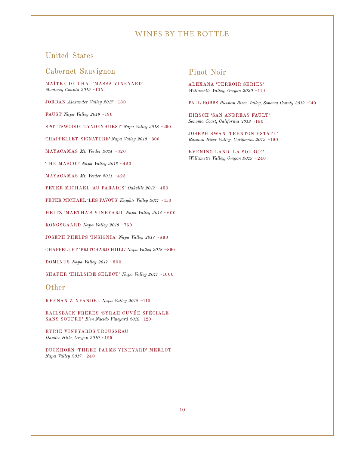# United States

# Cabernet Sauvignon

MAÎTRE DE CHAI 'MASSA VINEYARD' *Monterey County 2019* ~105

JORDAN *Alexander Valley 2017* ~180

FAUST *Napa Valley 2019* ~190

SPOTTSWOODE 'LYNDENHURST' *Napa Valley 2018* ~250

CHAPPELLET 'SIGNATURE' *Napa Valley 2019* ~300

MAYACAMAS *Mt. Veeder 2014* ~320

THE MASCOT *Napa Valley 2016* ~420

MAYACAMAS *Mt. Veeder 2011* ~425

PETER MICHAEL 'AU PARADIS' *Oakville 2017* ~450

PETER MICHAEL 'LES PAVOTS' *Knights Valley 2017* ~450

HEITZ 'MARTHA'S VINEYARD' *Napa Valley 2014* ~600

KONGSGAARD *Napa Valley 2019* ~760

JOSEPH PHELPS 'INSIGNIA' *Napa Valley 2017* ~860

CHAPPELLET 'PRITCHARD HIILL' *Napa Valley 2018* ~890

DOMINUS *Napa Valley 2017* ~900

SHAFER 'HILLSIDE SELECT' *Napa Valley 2017* ~1000

#### Other

KEENAN ZINFANDEL *Napa Valley 2018* ~110

RAILSBACK FRÈRES 'SYRAH CUVÉE SPÉCIALE SANS SOUFRE' *Bien Nacido Vineyard 2018* ~120

EYRIE VINEYARDS TROUSSEAU *Dundee Hills, Oregon 2010* ~125

DUCKHORN 'THREE PALMS VINEYARD' MERLOT *Napa Valley 2017* ~240

# Pinot Noir

ALEXANA 'TERROIR SERIES' *Willamette Valley, Oregon 2020* ~110

PAUL HOBBS *Russian River Valley, Sonoma County 2019* ~140

HIRSCH 'SAN ANDREAS FAULT' *Sonoma Coast, California 2019* ~180

JOSEPH SWAN 'TRENTON ESTATE' *Russian River Valley, California 2012* ~190

EVENING LAND 'LA SOURCE' *Willamette Valley, Oregon 2019* ~240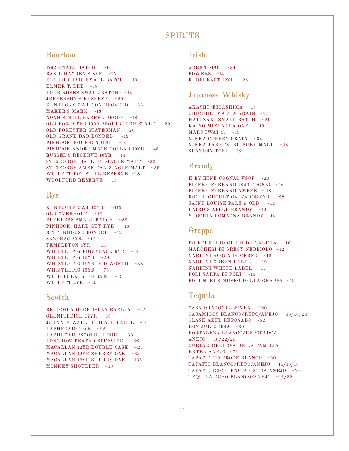# **SPIRITS**

# Bourbon

1792 SMALL BATCH ~14 BASIL HAYDEN'S 8YR ~15 ELIJAH CRAIG SMALL BATCH ~13 ELMER T. LEE  $~18$ FOUR ROSES SMALL BATCH ~14 JEFFERSON'S RESERVE ~20 KENTUCKY OWL CONFISCATED ~38 MAKER'S MARK ~13 NOAH'S MILL BARREL PROOF ~18 OLD FORESTER 1920 PROHIBITION STYLE ~22 OLD FORESTER STATESMAN ~20 OLD GRAND DAD BONDED ~13 PINHOOK 'BOURBONDINI' ~13 PINHOOK ANDRE MACK COLLAB 10YR ~45 RUSSEL'S RESERVE 10YR ~14 ST. GEORGE 'BALLER' SINGLE MALT ~20 ST. GEORGE AMERICAN SINGLE MALT ~35 WILLETT POT STILL RESERVE ~18 WOODFORD RESERVE ~15

### Rye

KENTUCKY OWL 10YR ~115 OLD OVERHOLT ~12 PEERLESS SMALL BATCH ~32 PINHOOK 'HARD GUY RYE' ~13 RITTENHOUSE BONDED ~12 SAZERAC 6YR ~12 TEMPLETON 4YR ~13 WHISTLEPIG PIGGYBACK 6YR ~18 WHISTLEPIG  $10YR - 28$ WHISTLEPIG 12YR OLD WORLD ~38 WHISTLEPIG 15YR ~78 WILD TURKEY 101 RYE ~13 WILLETT 4YR ~24

#### Scotch

BRUICHLADDICH ISLAY BARLEY ~25 GLENFIDDICH 12YR ~16 JOHNNIE WALKER BLACK LABEL ~16 LAPHROAIG 10YR ~22 LAPHROAIG 'SCOTCH LORE' ~38 LONGROW PEATED SPEYSIDE  $~122$ MACALLAN 12YR DOUBLE CASK ~25 MACALLAN 12YR SHERRY OAK ~33 MACALLAN 18YR SHERRY OAK ~135 MONKEY SHOULDER ~13

# Irish

GREEN SPOT ~24  $POWERS$  ~14 REDBREAST 12YR ~25

# Japanese Whisky

AKASHI 'EIGASHIMA' ~15 CHICHIBU MALT & GRAIN  $~12$ HATOZAKI SMALL BATCH ~21 KAIYO MIZUNARA OAK ~19 MARS IWAI 45  $~13$ NIKKA COFFEY GRAIN ~34 NIKKA TAKETSURU PURE MALT ~28 SUNTORY TOKI ~12

# Brandy

H BY HINE COGNAC VSOP ~20 PIERRE FERRAND 1840 COGNAC ~16 PIERRE FERRAND AMBRE ~ 18 ROGER GROULT CALVADOS 8YR ~22 SAINT LOUISE PALE & OLD  $~12$ LAIRD'S APPLE BRANDY ~12 VECCHIA ROMAGNA BRANDY ~14

# Grappa

DO FERREIRO ORUJO DE GALICIA ~18 MARCHESI DI GRÉSY NEBBIOLO ~12 NARDINI ACQUA DI CEDRO ~12 NARDINI GREEN LABEL ~12 NARDINI WHITE LABEL ~15 POLI SARPA DI POLI ~15 POLI MIELE MUSEO DELLA GRAPPA ~12

# Tequila

CASA DRAGONES JOVEN ~120 CASAMIGOS BLANCO/REPO/ANEJO ~16/18/20 CLASE AZUL REPOSADO ~52 DON JULIO 1942 ~60 FORTALEZA BLANCO/REPOSADO/ ANEJO ~18/22/28 CUERVO RESERVA DE LA FAMILIA EXTRA ANEJO ~75 TAPATIO 110 PROOF BLANCO ~20 TAPATIO BLANCO/REPO/ANEJO ~14/16/18 TAPATIO EXCELENCIA EXTRA ANEJO ~50 TEQUILA OCHO BLANCO/ANEJO ~16/22